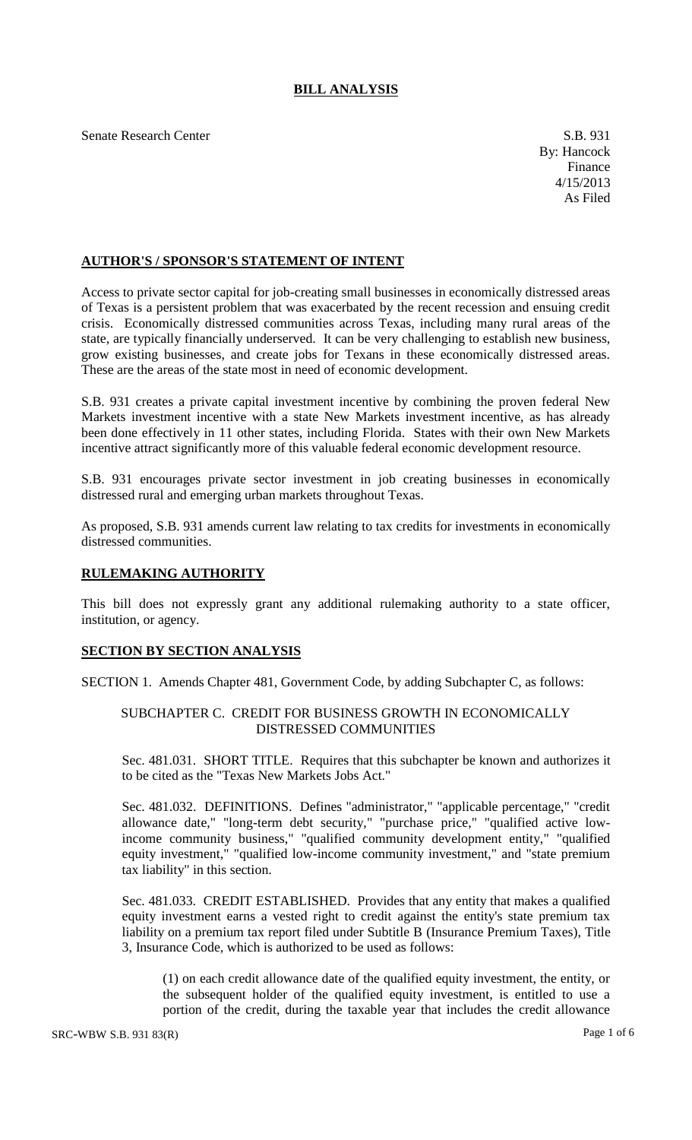# **BILL ANALYSIS**

Senate Research Center S.B. 931

# **AUTHOR'S / SPONSOR'S STATEMENT OF INTENT**

Access to private sector capital for job-creating small businesses in economically distressed areas of Texas is a persistent problem that was exacerbated by the recent recession and ensuing credit crisis. Economically distressed communities across Texas, including many rural areas of the state, are typically financially underserved. It can be very challenging to establish new business, grow existing businesses, and create jobs for Texans in these economically distressed areas. These are the areas of the state most in need of economic development.

S.B. 931 creates a private capital investment incentive by combining the proven federal New Markets investment incentive with a state New Markets investment incentive, as has already been done effectively in 11 other states, including Florida. States with their own New Markets incentive attract significantly more of this valuable federal economic development resource.

S.B. 931 encourages private sector investment in job creating businesses in economically distressed rural and emerging urban markets throughout Texas.

As proposed, S.B. 931 amends current law relating to tax credits for investments in economically distressed communities.

### **RULEMAKING AUTHORITY**

This bill does not expressly grant any additional rulemaking authority to a state officer, institution, or agency.

# **SECTION BY SECTION ANALYSIS**

SECTION 1. Amends Chapter 481, Government Code, by adding Subchapter C, as follows:

# SUBCHAPTER C. CREDIT FOR BUSINESS GROWTH IN ECONOMICALLY DISTRESSED COMMUNITIES

Sec. 481.031. SHORT TITLE. Requires that this subchapter be known and authorizes it to be cited as the "Texas New Markets Jobs Act."

Sec. 481.032. DEFINITIONS. Defines "administrator," "applicable percentage," "credit allowance date," "long-term debt security," "purchase price," "qualified active lowincome community business," "qualified community development entity," "qualified equity investment," "qualified low-income community investment," and "state premium tax liability" in this section.

Sec. 481.033. CREDIT ESTABLISHED. Provides that any entity that makes a qualified equity investment earns a vested right to credit against the entity's state premium tax liability on a premium tax report filed under Subtitle B (Insurance Premium Taxes), Title 3, Insurance Code, which is authorized to be used as follows:

(1) on each credit allowance date of the qualified equity investment, the entity, or the subsequent holder of the qualified equity investment, is entitled to use a portion of the credit, during the taxable year that includes the credit allowance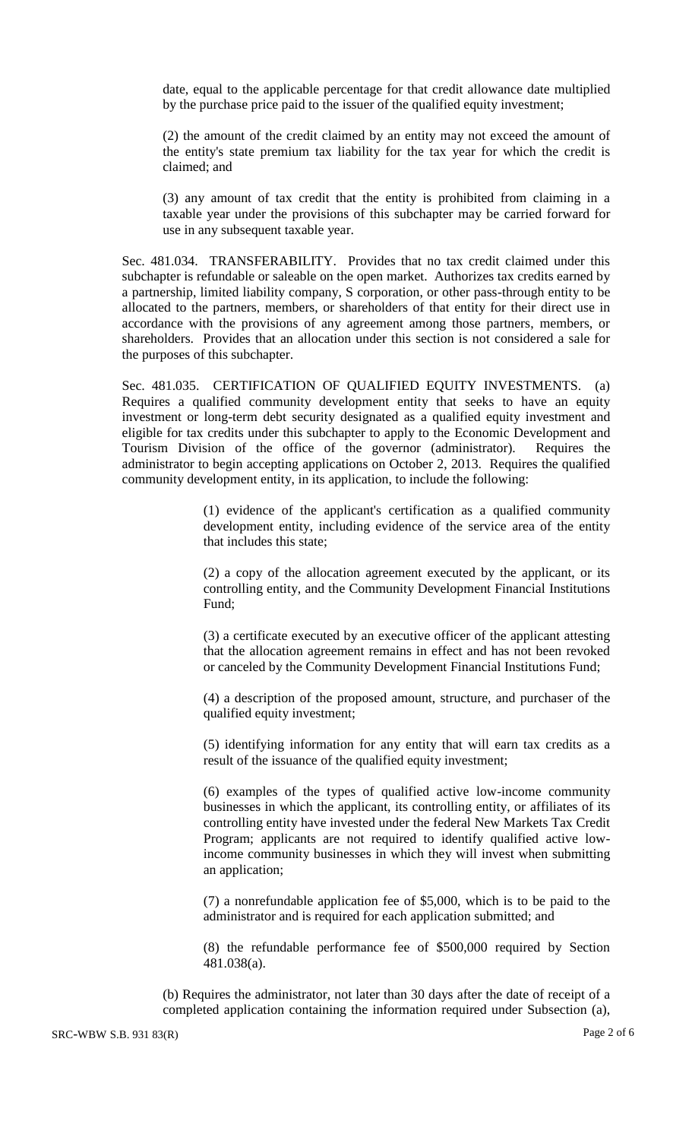date, equal to the applicable percentage for that credit allowance date multiplied by the purchase price paid to the issuer of the qualified equity investment;

(2) the amount of the credit claimed by an entity may not exceed the amount of the entity's state premium tax liability for the tax year for which the credit is claimed; and

(3) any amount of tax credit that the entity is prohibited from claiming in a taxable year under the provisions of this subchapter may be carried forward for use in any subsequent taxable year.

Sec. 481.034. TRANSFERABILITY. Provides that no tax credit claimed under this subchapter is refundable or saleable on the open market. Authorizes tax credits earned by a partnership, limited liability company, S corporation, or other pass-through entity to be allocated to the partners, members, or shareholders of that entity for their direct use in accordance with the provisions of any agreement among those partners, members, or shareholders. Provides that an allocation under this section is not considered a sale for the purposes of this subchapter.

Sec. 481.035. CERTIFICATION OF QUALIFIED EQUITY INVESTMENTS. (a) Requires a qualified community development entity that seeks to have an equity investment or long-term debt security designated as a qualified equity investment and eligible for tax credits under this subchapter to apply to the Economic Development and Tourism Division of the office of the governor (administrator). Requires the administrator to begin accepting applications on October 2, 2013. Requires the qualified community development entity, in its application, to include the following:

> (1) evidence of the applicant's certification as a qualified community development entity, including evidence of the service area of the entity that includes this state;

> (2) a copy of the allocation agreement executed by the applicant, or its controlling entity, and the Community Development Financial Institutions Fund;

> (3) a certificate executed by an executive officer of the applicant attesting that the allocation agreement remains in effect and has not been revoked or canceled by the Community Development Financial Institutions Fund;

> (4) a description of the proposed amount, structure, and purchaser of the qualified equity investment;

> (5) identifying information for any entity that will earn tax credits as a result of the issuance of the qualified equity investment;

> (6) examples of the types of qualified active low-income community businesses in which the applicant, its controlling entity, or affiliates of its controlling entity have invested under the federal New Markets Tax Credit Program; applicants are not required to identify qualified active lowincome community businesses in which they will invest when submitting an application;

> (7) a nonrefundable application fee of \$5,000, which is to be paid to the administrator and is required for each application submitted; and

> (8) the refundable performance fee of \$500,000 required by Section 481.038(a).

(b) Requires the administrator, not later than 30 days after the date of receipt of a completed application containing the information required under Subsection (a),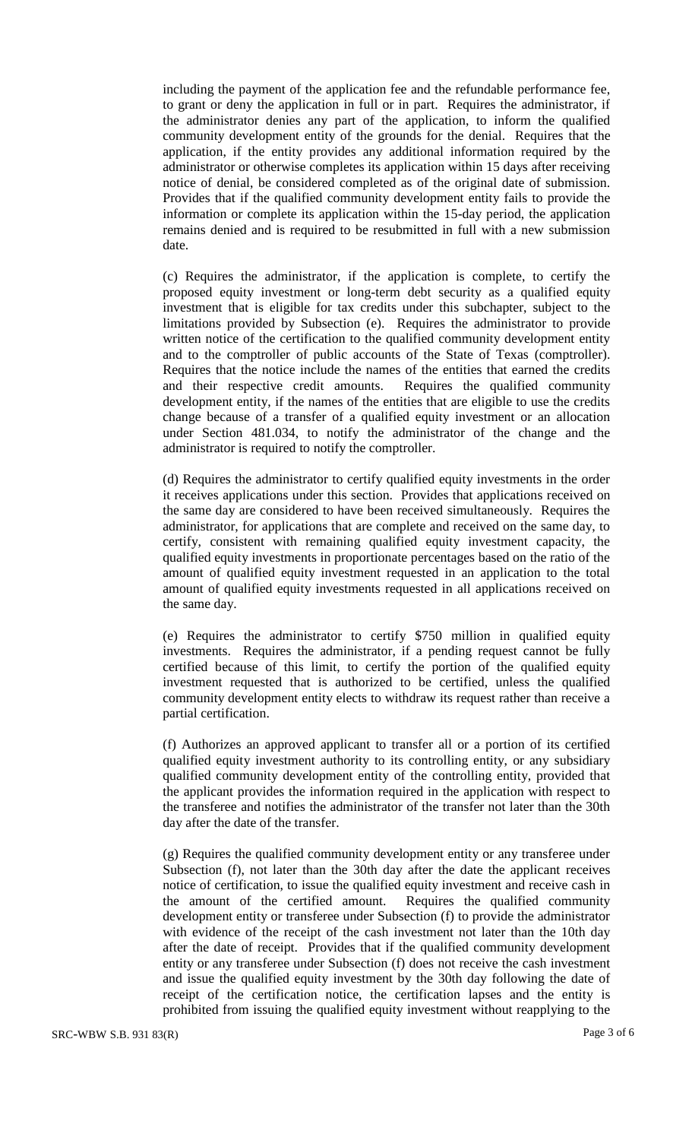including the payment of the application fee and the refundable performance fee, to grant or deny the application in full or in part. Requires the administrator, if the administrator denies any part of the application, to inform the qualified community development entity of the grounds for the denial. Requires that the application, if the entity provides any additional information required by the administrator or otherwise completes its application within 15 days after receiving notice of denial, be considered completed as of the original date of submission. Provides that if the qualified community development entity fails to provide the information or complete its application within the 15-day period, the application remains denied and is required to be resubmitted in full with a new submission date.

(c) Requires the administrator, if the application is complete, to certify the proposed equity investment or long-term debt security as a qualified equity investment that is eligible for tax credits under this subchapter, subject to the limitations provided by Subsection (e). Requires the administrator to provide written notice of the certification to the qualified community development entity and to the comptroller of public accounts of the State of Texas (comptroller). Requires that the notice include the names of the entities that earned the credits and their respective credit amounts. Requires the qualified community development entity, if the names of the entities that are eligible to use the credits change because of a transfer of a qualified equity investment or an allocation under Section 481.034, to notify the administrator of the change and the administrator is required to notify the comptroller.

(d) Requires the administrator to certify qualified equity investments in the order it receives applications under this section. Provides that applications received on the same day are considered to have been received simultaneously. Requires the administrator, for applications that are complete and received on the same day, to certify, consistent with remaining qualified equity investment capacity, the qualified equity investments in proportionate percentages based on the ratio of the amount of qualified equity investment requested in an application to the total amount of qualified equity investments requested in all applications received on the same day.

(e) Requires the administrator to certify \$750 million in qualified equity investments. Requires the administrator, if a pending request cannot be fully certified because of this limit, to certify the portion of the qualified equity investment requested that is authorized to be certified, unless the qualified community development entity elects to withdraw its request rather than receive a partial certification.

(f) Authorizes an approved applicant to transfer all or a portion of its certified qualified equity investment authority to its controlling entity, or any subsidiary qualified community development entity of the controlling entity, provided that the applicant provides the information required in the application with respect to the transferee and notifies the administrator of the transfer not later than the 30th day after the date of the transfer.

(g) Requires the qualified community development entity or any transferee under Subsection (f), not later than the 30th day after the date the applicant receives notice of certification, to issue the qualified equity investment and receive cash in the amount of the certified amount. Requires the qualified community development entity or transferee under Subsection (f) to provide the administrator with evidence of the receipt of the cash investment not later than the 10th day after the date of receipt. Provides that if the qualified community development entity or any transferee under Subsection (f) does not receive the cash investment and issue the qualified equity investment by the 30th day following the date of receipt of the certification notice, the certification lapses and the entity is prohibited from issuing the qualified equity investment without reapplying to the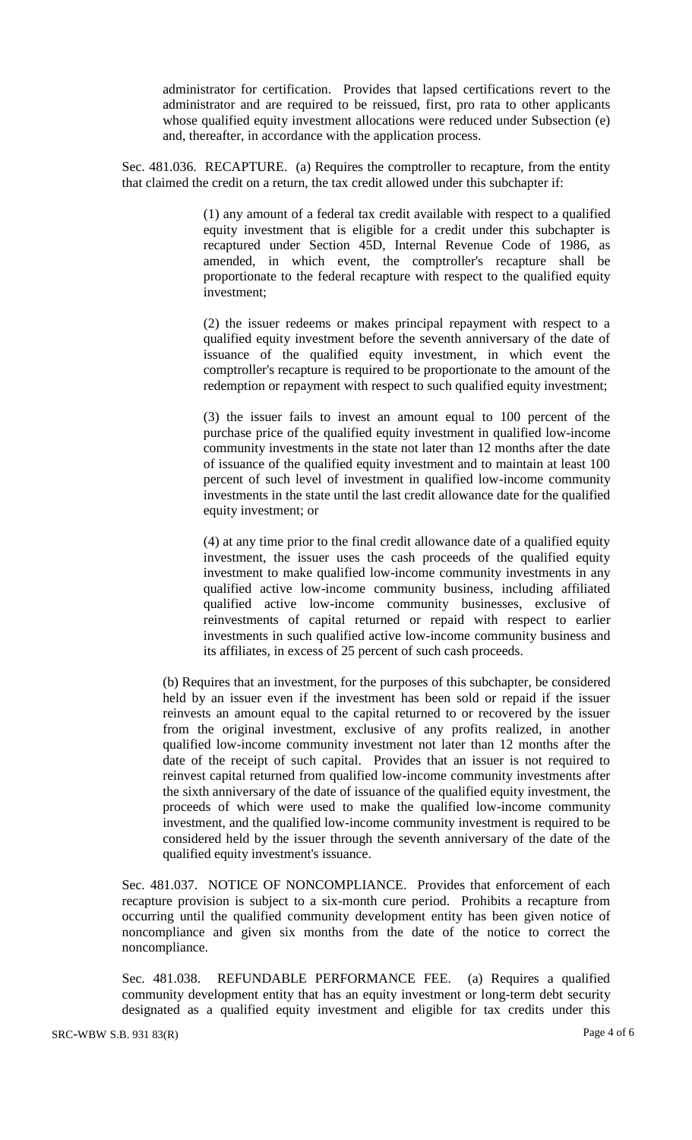administrator for certification. Provides that lapsed certifications revert to the administrator and are required to be reissued, first, pro rata to other applicants whose qualified equity investment allocations were reduced under Subsection (e) and, thereafter, in accordance with the application process.

Sec. 481.036. RECAPTURE. (a) Requires the comptroller to recapture, from the entity that claimed the credit on a return, the tax credit allowed under this subchapter if:

> (1) any amount of a federal tax credit available with respect to a qualified equity investment that is eligible for a credit under this subchapter is recaptured under Section 45D, Internal Revenue Code of 1986, as amended, in which event, the comptroller's recapture shall be proportionate to the federal recapture with respect to the qualified equity investment;

> (2) the issuer redeems or makes principal repayment with respect to a qualified equity investment before the seventh anniversary of the date of issuance of the qualified equity investment, in which event the comptroller's recapture is required to be proportionate to the amount of the redemption or repayment with respect to such qualified equity investment;

> (3) the issuer fails to invest an amount equal to 100 percent of the purchase price of the qualified equity investment in qualified low-income community investments in the state not later than 12 months after the date of issuance of the qualified equity investment and to maintain at least 100 percent of such level of investment in qualified low-income community investments in the state until the last credit allowance date for the qualified equity investment; or

> (4) at any time prior to the final credit allowance date of a qualified equity investment, the issuer uses the cash proceeds of the qualified equity investment to make qualified low-income community investments in any qualified active low-income community business, including affiliated qualified active low-income community businesses, exclusive of reinvestments of capital returned or repaid with respect to earlier investments in such qualified active low-income community business and its affiliates, in excess of 25 percent of such cash proceeds.

(b) Requires that an investment, for the purposes of this subchapter, be considered held by an issuer even if the investment has been sold or repaid if the issuer reinvests an amount equal to the capital returned to or recovered by the issuer from the original investment, exclusive of any profits realized, in another qualified low-income community investment not later than 12 months after the date of the receipt of such capital. Provides that an issuer is not required to reinvest capital returned from qualified low-income community investments after the sixth anniversary of the date of issuance of the qualified equity investment, the proceeds of which were used to make the qualified low-income community investment, and the qualified low-income community investment is required to be considered held by the issuer through the seventh anniversary of the date of the qualified equity investment's issuance.

Sec. 481.037. NOTICE OF NONCOMPLIANCE. Provides that enforcement of each recapture provision is subject to a six-month cure period. Prohibits a recapture from occurring until the qualified community development entity has been given notice of noncompliance and given six months from the date of the notice to correct the noncompliance.

Sec. 481.038. REFUNDABLE PERFORMANCE FEE. (a) Requires a qualified community development entity that has an equity investment or long-term debt security designated as a qualified equity investment and eligible for tax credits under this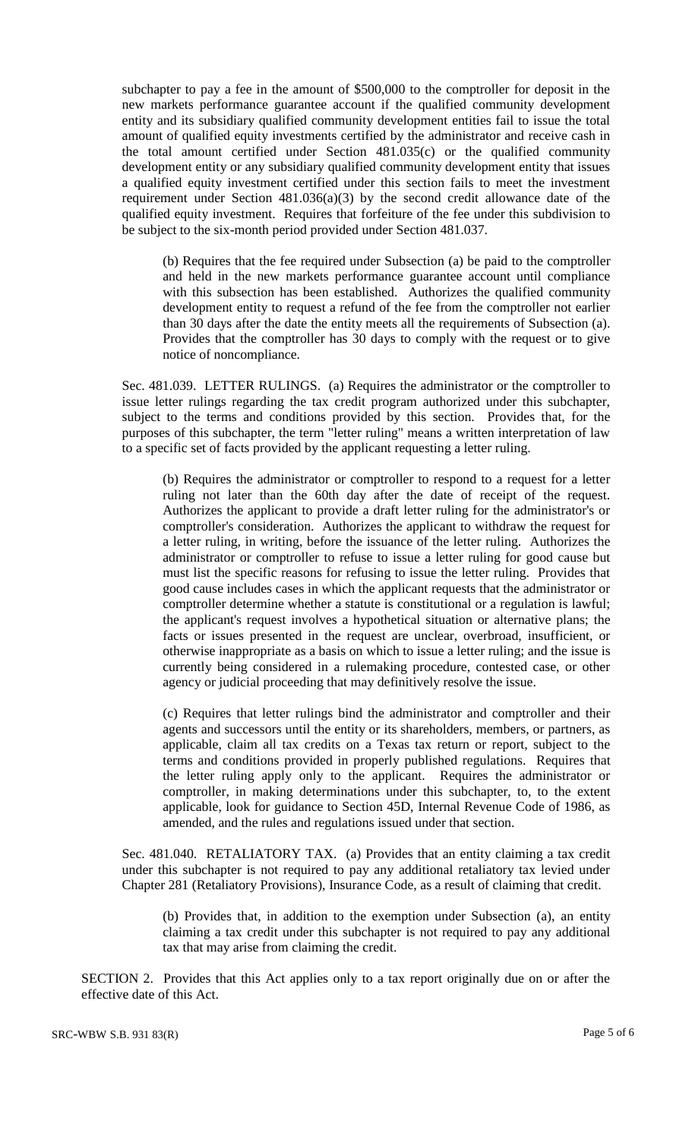subchapter to pay a fee in the amount of \$500,000 to the comptroller for deposit in the new markets performance guarantee account if the qualified community development entity and its subsidiary qualified community development entities fail to issue the total amount of qualified equity investments certified by the administrator and receive cash in the total amount certified under Section 481.035(c) or the qualified community development entity or any subsidiary qualified community development entity that issues a qualified equity investment certified under this section fails to meet the investment requirement under Section 481.036(a)(3) by the second credit allowance date of the qualified equity investment. Requires that forfeiture of the fee under this subdivision to be subject to the six-month period provided under Section 481.037.

(b) Requires that the fee required under Subsection (a) be paid to the comptroller and held in the new markets performance guarantee account until compliance with this subsection has been established. Authorizes the qualified community development entity to request a refund of the fee from the comptroller not earlier than 30 days after the date the entity meets all the requirements of Subsection (a). Provides that the comptroller has 30 days to comply with the request or to give notice of noncompliance.

Sec. 481.039. LETTER RULINGS. (a) Requires the administrator or the comptroller to issue letter rulings regarding the tax credit program authorized under this subchapter, subject to the terms and conditions provided by this section. Provides that, for the purposes of this subchapter, the term "letter ruling" means a written interpretation of law to a specific set of facts provided by the applicant requesting a letter ruling.

(b) Requires the administrator or comptroller to respond to a request for a letter ruling not later than the 60th day after the date of receipt of the request. Authorizes the applicant to provide a draft letter ruling for the administrator's or comptroller's consideration. Authorizes the applicant to withdraw the request for a letter ruling, in writing, before the issuance of the letter ruling. Authorizes the administrator or comptroller to refuse to issue a letter ruling for good cause but must list the specific reasons for refusing to issue the letter ruling. Provides that good cause includes cases in which the applicant requests that the administrator or comptroller determine whether a statute is constitutional or a regulation is lawful; the applicant's request involves a hypothetical situation or alternative plans; the facts or issues presented in the request are unclear, overbroad, insufficient, or otherwise inappropriate as a basis on which to issue a letter ruling; and the issue is currently being considered in a rulemaking procedure, contested case, or other agency or judicial proceeding that may definitively resolve the issue.

(c) Requires that letter rulings bind the administrator and comptroller and their agents and successors until the entity or its shareholders, members, or partners, as applicable, claim all tax credits on a Texas tax return or report, subject to the terms and conditions provided in properly published regulations. Requires that the letter ruling apply only to the applicant. Requires the administrator or comptroller, in making determinations under this subchapter, to, to the extent applicable, look for guidance to Section 45D, Internal Revenue Code of 1986, as amended, and the rules and regulations issued under that section.

Sec. 481.040. RETALIATORY TAX. (a) Provides that an entity claiming a tax credit under this subchapter is not required to pay any additional retaliatory tax levied under Chapter 281 (Retaliatory Provisions), Insurance Code, as a result of claiming that credit.

(b) Provides that, in addition to the exemption under Subsection (a), an entity claiming a tax credit under this subchapter is not required to pay any additional tax that may arise from claiming the credit.

SECTION 2. Provides that this Act applies only to a tax report originally due on or after the effective date of this Act.